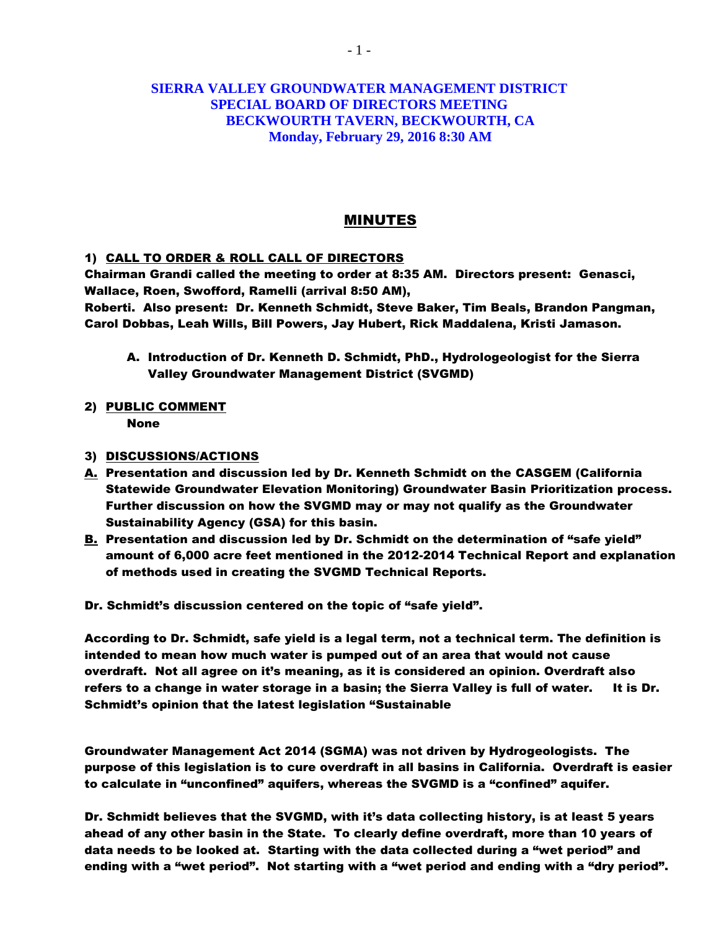## **SIERRA VALLEY GROUNDWATER MANAGEMENT DISTRICT SPECIAL BOARD OF DIRECTORS MEETING BECKWOURTH TAVERN, BECKWOURTH, CA Monday, February 29, 2016 8:30 AM**

#### MINUTES

#### 1) CALL TO ORDER & ROLL CALL OF DIRECTORS

Chairman Grandi called the meeting to order at 8:35 AM. Directors present: Genasci, Wallace, Roen, Swofford, Ramelli (arrival 8:50 AM),

Roberti. Also present: Dr. Kenneth Schmidt, Steve Baker, Tim Beals, Brandon Pangman, Carol Dobbas, Leah Wills, Bill Powers, Jay Hubert, Rick Maddalena, Kristi Jamason.

A. Introduction of Dr. Kenneth D. Schmidt, PhD., Hydrologeologist for the Sierra Valley Groundwater Management District (SVGMD)

#### 2) PUBLIC COMMENT None

#### 3) DISCUSSIONS/ACTIONS

- A. Presentation and discussion led by Dr. Kenneth Schmidt on the CASGEM (California Statewide Groundwater Elevation Monitoring) Groundwater Basin Prioritization process. Further discussion on how the SVGMD may or may not qualify as the Groundwater Sustainability Agency (GSA) for this basin.
- B. Presentation and discussion led by Dr. Schmidt on the determination of "safe yield" amount of 6,000 acre feet mentioned in the 2012-2014 Technical Report and explanation of methods used in creating the SVGMD Technical Reports.

Dr. Schmidt's discussion centered on the topic of "safe yield".

According to Dr. Schmidt, safe yield is a legal term, not a technical term. The definition is intended to mean how much water is pumped out of an area that would not cause overdraft. Not all agree on it's meaning, as it is considered an opinion. Overdraft also refers to a change in water storage in a basin; the Sierra Valley is full of water. It is Dr. Schmidt's opinion that the latest legislation "Sustainable

Groundwater Management Act 2014 (SGMA) was not driven by Hydrogeologists. The purpose of this legislation is to cure overdraft in all basins in California. Overdraft is easier to calculate in "unconfined" aquifers, whereas the SVGMD is a "confined" aquifer.

Dr. Schmidt believes that the SVGMD, with it's data collecting history, is at least 5 years ahead of any other basin in the State. To clearly define overdraft, more than 10 years of data needs to be looked at. Starting with the data collected during a "wet period" and ending with a "wet period". Not starting with a "wet period and ending with a "dry period".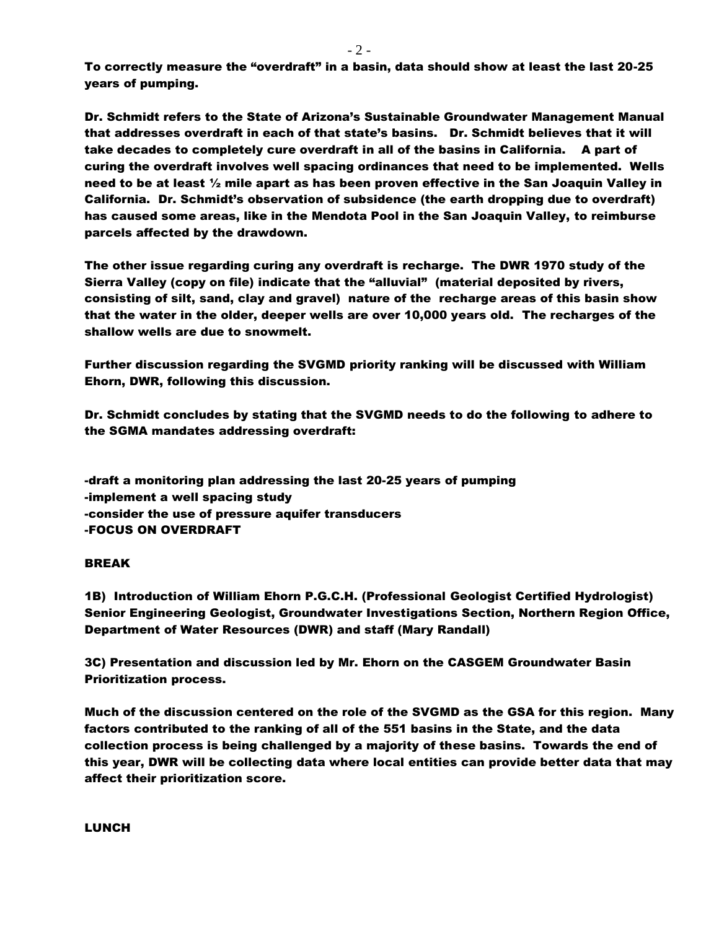To correctly measure the "overdraft" in a basin, data should show at least the last 20-25 years of pumping.

Dr. Schmidt refers to the State of Arizona's Sustainable Groundwater Management Manual that addresses overdraft in each of that state's basins. Dr. Schmidt believes that it will take decades to completely cure overdraft in all of the basins in California. A part of curing the overdraft involves well spacing ordinances that need to be implemented. Wells need to be at least ½ mile apart as has been proven effective in the San Joaquin Valley in California. Dr. Schmidt's observation of subsidence (the earth dropping due to overdraft) has caused some areas, like in the Mendota Pool in the San Joaquin Valley, to reimburse parcels affected by the drawdown.

The other issue regarding curing any overdraft is recharge. The DWR 1970 study of the Sierra Valley (copy on file) indicate that the "alluvial" (material deposited by rivers, consisting of silt, sand, clay and gravel) nature of the recharge areas of this basin show that the water in the older, deeper wells are over 10,000 years old. The recharges of the shallow wells are due to snowmelt.

Further discussion regarding the SVGMD priority ranking will be discussed with William Ehorn, DWR, following this discussion.

Dr. Schmidt concludes by stating that the SVGMD needs to do the following to adhere to the SGMA mandates addressing overdraft:

-draft a monitoring plan addressing the last 20-25 years of pumping -implement a well spacing study -consider the use of pressure aquifer transducers -FOCUS ON OVERDRAFT

### BREAK

1B) Introduction of William Ehorn P.G.C.H. (Professional Geologist Certified Hydrologist) Senior Engineering Geologist, Groundwater Investigations Section, Northern Region Office, Department of Water Resources (DWR) and staff (Mary Randall)

3C) Presentation and discussion led by Mr. Ehorn on the CASGEM Groundwater Basin Prioritization process.

Much of the discussion centered on the role of the SVGMD as the GSA for this region. Many factors contributed to the ranking of all of the 551 basins in the State, and the data collection process is being challenged by a majority of these basins. Towards the end of this year, DWR will be collecting data where local entities can provide better data that may affect their prioritization score.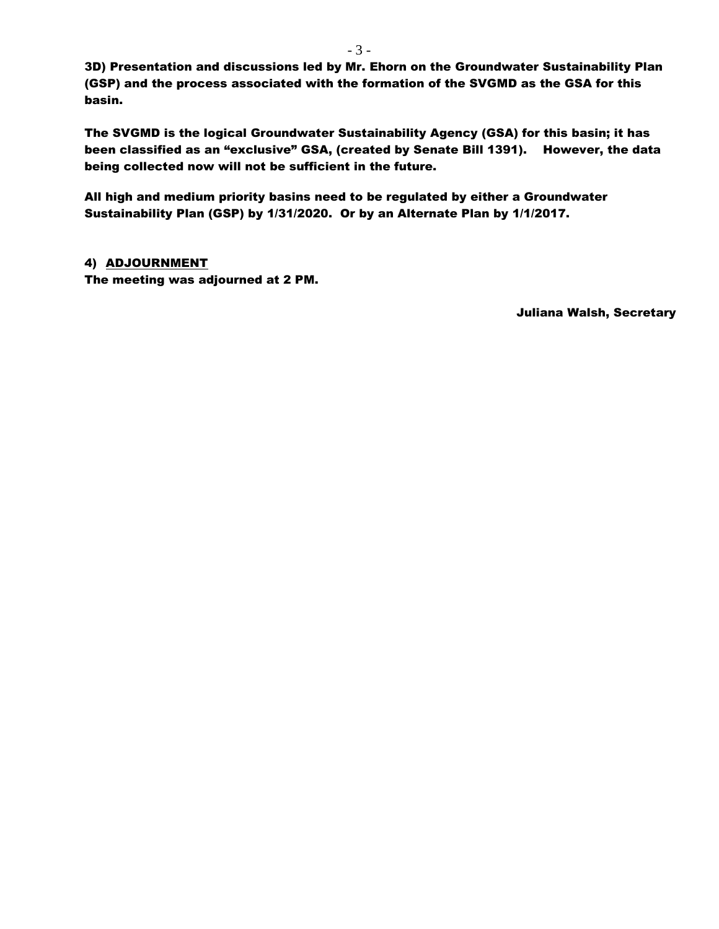3D) Presentation and discussions led by Mr. Ehorn on the Groundwater Sustainability Plan (GSP) and the process associated with the formation of the SVGMD as the GSA for this basin.

The SVGMD is the logical Groundwater Sustainability Agency (GSA) for this basin; it has been classified as an "exclusive" GSA, (created by Senate Bill 1391). However, the data being collected now will not be sufficient in the future.

All high and medium priority basins need to be regulated by either a Groundwater Sustainability Plan (GSP) by 1/31/2020. Or by an Alternate Plan by 1/1/2017.

### 4) ADJOURNMENT

The meeting was adjourned at 2 PM.

Juliana Walsh, Secretary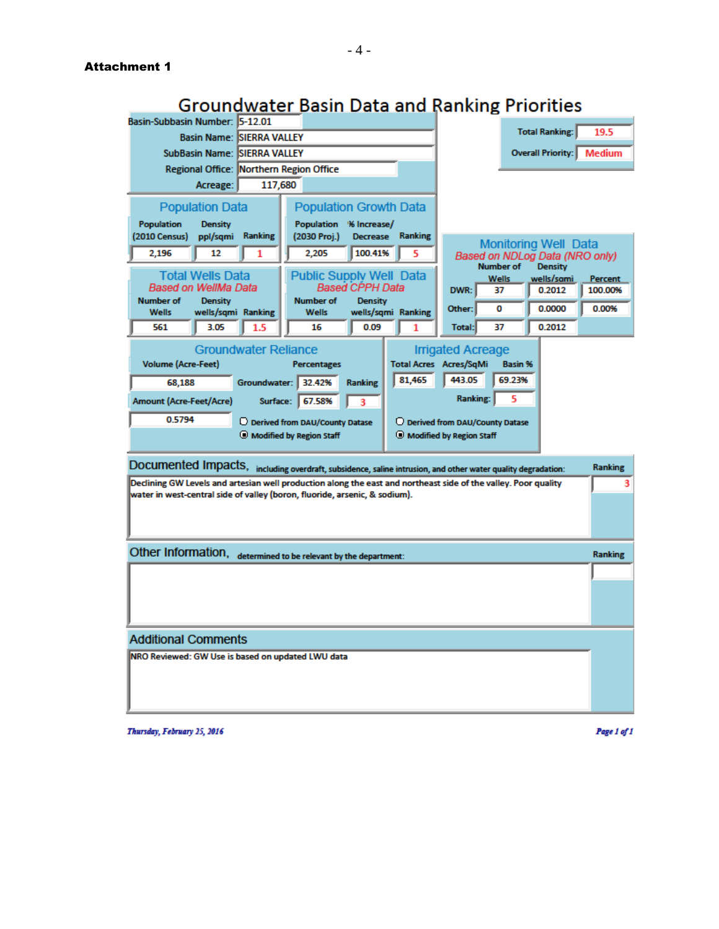# **Groundwater Basin Data and Ranking Priorities**

| Basin-Subbasin Number: 5-12.01                                                                                                                                                                                                                                        |                                                                          |                                                                                                                                                                 |                                                                                               |                                         |                                                                                                                  |                                                                     |                                                                                           |                                    |
|-----------------------------------------------------------------------------------------------------------------------------------------------------------------------------------------------------------------------------------------------------------------------|--------------------------------------------------------------------------|-----------------------------------------------------------------------------------------------------------------------------------------------------------------|-----------------------------------------------------------------------------------------------|-----------------------------------------|------------------------------------------------------------------------------------------------------------------|---------------------------------------------------------------------|-------------------------------------------------------------------------------------------|------------------------------------|
|                                                                                                                                                                                                                                                                       | <b>Basin Name: SIERRA VALLEY</b>                                         |                                                                                                                                                                 |                                                                                               |                                         |                                                                                                                  |                                                                     | <b>Total Ranking:</b>                                                                     | 19.5                               |
| SubBasin Name: SIERRA VALLEY                                                                                                                                                                                                                                          |                                                                          |                                                                                                                                                                 |                                                                                               |                                         |                                                                                                                  |                                                                     | <b>Overall Priority:</b>                                                                  | <b>Medium</b>                      |
|                                                                                                                                                                                                                                                                       | Regional Office: Northern Region Office                                  |                                                                                                                                                                 |                                                                                               |                                         |                                                                                                                  |                                                                     |                                                                                           |                                    |
| 117,680<br>Acreage:                                                                                                                                                                                                                                                   |                                                                          |                                                                                                                                                                 |                                                                                               |                                         |                                                                                                                  |                                                                     |                                                                                           |                                    |
| <b>Population Data</b><br><b>Population</b><br><b>Density</b><br>(2010 Census)<br>ppl/sqmi<br>2,196<br>12<br><b>Total Wells Data</b><br><b>Based on WellMa Data</b><br><b>Number of</b><br><b>Density</b><br><b>Wells</b><br>3.05<br>561<br><b>Volume (Acre-Feet)</b> | Ranking<br>1<br>wells/sqmi Ranking<br>1.5<br><b>Groundwater Reliance</b> | <b>Population Growth Data</b><br>Population<br>(2030 Proj.)<br>2,205<br><b>Public Supply Well Data</b><br><b>Number of</b><br><b>Wells</b><br>16<br>Percentages | % Increase/<br><b>Decrease</b><br>100.41%<br><b>Based CPPH Data</b><br><b>Density</b><br>0.09 | Ranking<br>5<br>wells/sqmi Ranking<br>1 | Based on NDLog Data (NRO only)<br>DWR:<br>Other:<br>Total:<br><b>Irrigated Acreage</b><br>Total Acres Acres/SqMi | <b>Number of</b><br><b>Wells</b><br>37<br>0<br>37<br><b>Basin %</b> | <b>Monitoring Well Data</b><br><b>Density</b><br>wells/sami<br>0.2012<br>0.0000<br>0.2012 | <b>Percent</b><br>100.00%<br>0.00% |
| 68,188                                                                                                                                                                                                                                                                | Groundwater:                                                             | 32.42%                                                                                                                                                          | <b>Ranking</b>                                                                                | 81,465                                  | 443.05                                                                                                           | 69.23%                                                              |                                                                                           |                                    |
| Amount (Acre-Feet/Acre)                                                                                                                                                                                                                                               | Surface:                                                                 | 67.58%                                                                                                                                                          | 3                                                                                             |                                         | <b>Ranking:</b>                                                                                                  | 5                                                                   |                                                                                           |                                    |
| 0.5794                                                                                                                                                                                                                                                                |                                                                          | O Derived from DAU/County Datase<br>Modified by Region Staff                                                                                                    |                                                                                               |                                         | O Derived from DAU/County Datase<br>Modified by Region Staff                                                     |                                                                     |                                                                                           |                                    |
| Documented Impacts,<br>including overdraft, subsidence, saline intrusion, and other water quality degradation:<br><b>Ranking</b>                                                                                                                                      |                                                                          |                                                                                                                                                                 |                                                                                               |                                         |                                                                                                                  |                                                                     |                                                                                           |                                    |
| Declining GW Levels and artesian well production along the east and northeast side of the valley. Poor quality<br>з<br>water in west-central side of valley (boron, fluoride, arsenic, & sodium).                                                                     |                                                                          |                                                                                                                                                                 |                                                                                               |                                         |                                                                                                                  |                                                                     |                                                                                           |                                    |
| Other Information, determined to be relevant by the department:<br><b>Ranking</b>                                                                                                                                                                                     |                                                                          |                                                                                                                                                                 |                                                                                               |                                         |                                                                                                                  |                                                                     |                                                                                           |                                    |
|                                                                                                                                                                                                                                                                       |                                                                          |                                                                                                                                                                 |                                                                                               |                                         |                                                                                                                  |                                                                     |                                                                                           |                                    |
| <b>Additional Comments</b>                                                                                                                                                                                                                                            |                                                                          |                                                                                                                                                                 |                                                                                               |                                         |                                                                                                                  |                                                                     |                                                                                           |                                    |
| NRO Reviewed: GW Use is based on updated LWU data                                                                                                                                                                                                                     |                                                                          |                                                                                                                                                                 |                                                                                               |                                         |                                                                                                                  |                                                                     |                                                                                           |                                    |

Thursday, February 25, 2016